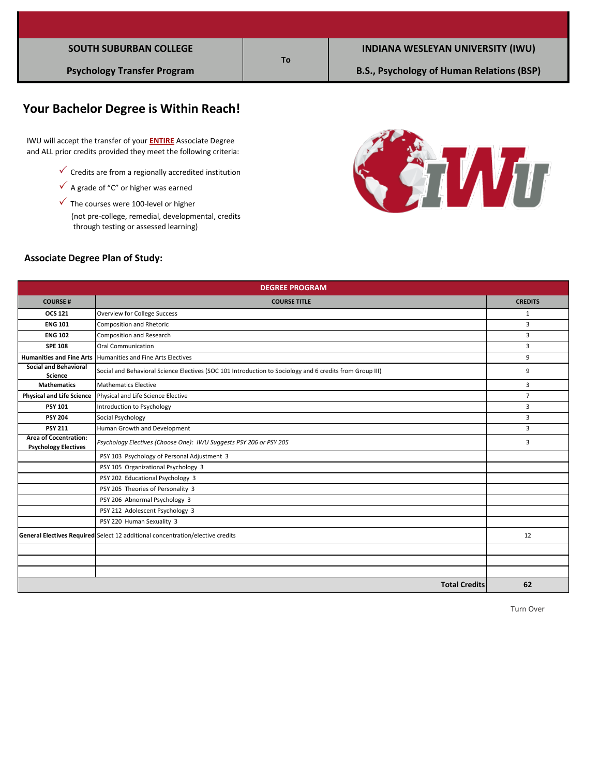|  | <b>SOUTH SUBURBAN COLLEGE</b> |  |
|--|-------------------------------|--|
|--|-------------------------------|--|

# **Your Bachelor Degree is Within Reach!**

 IWU will accept the transfer of your **ENTIRE** Associate Degree and ALL prior credits provided they meet the following criteria:

- $\checkmark$  Credits are from a regionally accredited institution
- $\checkmark$  A grade of "C" or higher was earned
- (not pre-college, remedial, developmental, credits  $\checkmark$  The courses were 100-level or higher through testing or assessed learning)



#### **Associate Degree Plan of Study:**

| <b>DEGREE PROGRAM</b>                                                          |                                                                                                          |                |  |
|--------------------------------------------------------------------------------|----------------------------------------------------------------------------------------------------------|----------------|--|
| <b>COURSE#</b>                                                                 | <b>COURSE TITLE</b>                                                                                      | <b>CREDITS</b> |  |
| <b>OCS 121</b>                                                                 | <b>Overview for College Success</b>                                                                      | $\mathbf{1}$   |  |
| <b>ENG 101</b>                                                                 | <b>Composition and Rhetoric</b>                                                                          | 3              |  |
| <b>ENG 102</b>                                                                 | <b>Composition and Research</b>                                                                          | 3              |  |
| <b>SPE 108</b>                                                                 | Oral Communication                                                                                       | 3              |  |
| <b>Humanities and Fine Arts</b>                                                | Humanities and Fine Arts Electives                                                                       | 9              |  |
| <b>Social and Behavioral</b><br><b>Science</b>                                 | Social and Behavioral Science Electives (SOC 101 Introduction to Sociology and 6 credits from Group III) | 9              |  |
| <b>Mathematics</b>                                                             | <b>Mathematics Elective</b>                                                                              | 3              |  |
| <b>Physical and Life Science</b>                                               | Physical and Life Science Elective                                                                       |                |  |
| <b>PSY 101</b>                                                                 | Introduction to Psychology                                                                               | 3              |  |
| <b>PSY 204</b>                                                                 | Social Psychology                                                                                        | 3              |  |
| <b>PSY 211</b>                                                                 | Human Growth and Development                                                                             | 3              |  |
| <b>Area of Cocentration:</b><br><b>Psychology Electives</b>                    | Psychology Electives (Choose One): IWU Suggests PSY 206 or PSY 205                                       | 3              |  |
|                                                                                | PSY 103 Psychology of Personal Adjustment 3                                                              |                |  |
|                                                                                | PSY 105 Organizational Psychology 3                                                                      |                |  |
|                                                                                | PSY 202 Educational Psychology 3                                                                         |                |  |
|                                                                                | PSY 205 Theories of Personality 3                                                                        |                |  |
|                                                                                | PSY 206 Abnormal Psychology 3                                                                            |                |  |
|                                                                                | PSY 212 Adolescent Psychology 3                                                                          |                |  |
|                                                                                | PSY 220 Human Sexuality 3                                                                                |                |  |
| General Electives Required Select 12 additional concentration/elective credits |                                                                                                          | 12             |  |
|                                                                                |                                                                                                          |                |  |
|                                                                                |                                                                                                          |                |  |
|                                                                                |                                                                                                          |                |  |
|                                                                                | <b>Total Credits</b>                                                                                     | 62             |  |

**To**

Turn Over